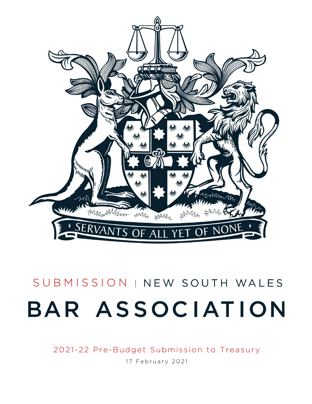

# SUBMISSION | NEW SOUTH WALES BAR ASSOCIATION

2021-22 Pre-Budget Submission to Treasury

17 February 2021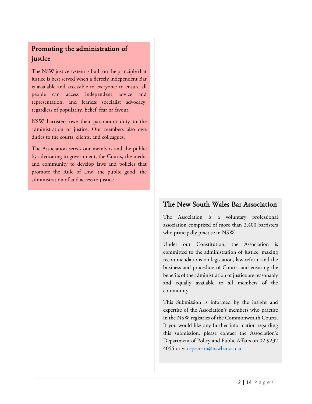## Promoting the administration of justice

The NSW justice system is built on the principle that justice is best served when a fiercely independent Bar is available and accessible to everyone: to ensure all people can access independent advice and representation, and fearless specialist advocacy, regardless of popularity, belief, fear or favour.

NSW barristers owe their paramount duty to the administration of justice. Our members also owe duties to the courts, clients, and colleagues.

The Association serves our members and the public by advocating to government, the Courts, the media and community to develop laws and policies that promote the Rule of Law, the public good, the administration of and access to justice.

## The New South Wales Bar Association

The Association is a voluntary professional association comprised of more than 2,400 barristers who principally practise in NSW.

Under our Constitution, the Association is committed to the administration of justice, making recommendations on legislation, law reform and the business and procedure of Courts, and ensuring the benefits of the administration of justice are reasonably and equally available to all members of the community.

This Submission is informed by the insight and expertise of the Association's members who practise in the NSW registries of the Commonwealth Courts. If you would like any further information regarding this submission, please contact the Association's Department of Policy and Public Affairs on 02 9232 4055 or via [epearson@nswbar.asn.au](mailto:epearson@nswbar.asn.au).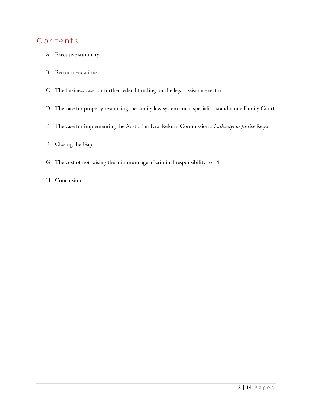# Contents

- A Executive summary
- B Recommendations
- C The business case for further federal funding for the legal assistance sector
- D The case for properly resourcing the family law system and a specialist, stand-alone Family Court
- E The case for implementing the Australian Law Reform Commission's *Pathways to Justice* Report
- F Closing the Gap
- G The cost of not raising the minimum age of criminal responsibility to 14
- H Conclusion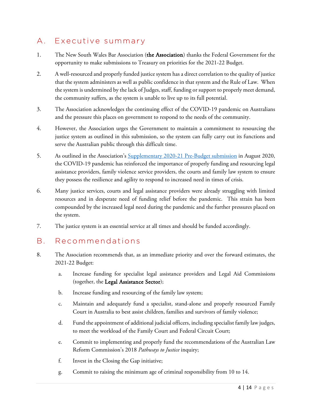# A. Executive summary

- 1. The New South Wales Bar Association (the Association) thanks the Federal Government for the opportunity to make submissions to Treasury on priorities for the 2021-22 Budget.
- 2. A well-resourced and properly funded justice system has a direct correlation to the quality of justice that the system administers as well as public confidence in that system and the Rule of Law. When the system is undermined by the lack of Judges, staff, funding or support to properly meet demand, the community suffers, as the system is unable to live up to its full potential.
- 3. The Association acknowledges the continuing effect of the COVID-19 pandemic on Australians and the pressure this places on government to respond to the needs of the community.
- 4. However, the Association urges the Government to maintain a commitment to resourcing the justice system as outlined in this submission, so the system can fully carry out its functions and serve the Australian public through this difficult time.
- 5. As outlined in the Association's [Supplementary 2020-21 Pre-Budget submission](https://nswbar.asn.au/uploads/pdf-documents/submissions/NSWBA_Bar_Association_-_supplementary_pre-budget_submission_to_Treasury.pdf) in August 2020, the COVID-19 pandemic has reinforced the importance of properly funding and resourcing legal assistance providers, family violence service providers, the courts and family law system to ensure they possess the resilience and agility to respond to increased need in times of crisis.
- 6. Many justice services, courts and legal assistance providers were already struggling with limited resources and in desperate need of funding relief before the pandemic. This strain has been compounded by the increased legal need during the pandemic and the further pressures placed on the system.
- 7. The justice system is an essential service at all times and should be funded accordingly.

## B. Recommendations

- 8. The Association recommends that, as an immediate priority and over the forward estimates, the 2021-22 Budget:
	- a. Increase funding for specialist legal assistance providers and Legal Aid Commissions (together, the Legal Assistance Sector);
	- b. Increase funding and resourcing of the family law system;
	- c. Maintain and adequately fund a specialist, stand-alone and properly resourced Family Court in Australia to best assist children, families and survivors of family violence;
	- d. Fund the appointment of additional judicial officers, including specialist family law judges, to meet the workload of the Family Court and Federal Circuit Court;
	- e. Commit to implementing and properly fund the recommendations of the Australian Law Reform Commission's 2018 *Pathways to Justice* inquiry;
	- f. Invest in the Closing the Gap initiative;
	- g. Commit to raising the minimum age of criminal responsibility from 10 to 14.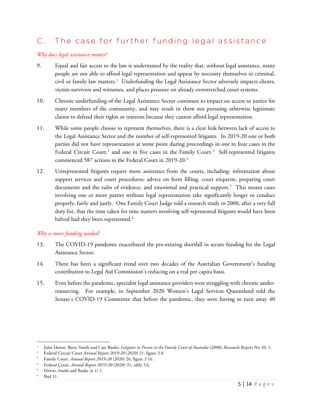# C. The case for further funding legal assistance

#### *Why does legal assistance matter?*

- <span id="page-4-0"></span>9. Equal and fair access to the law is undermined by the reality that, without legal assistance, many people are not able to afford legal representation and appear by necessity themselves in criminal, civil or family law matters. [1](#page-4-1) Underfunding the Legal Assistance Sector adversely impacts clients, victim-survivors and witnesses, and places pressure on already overstretched court systems.
- 10. Chronic underfunding of the Legal Assistance Sector continues to impact on access to justice for many members of the community, and may result in them not pursuing otherwise legitimate claims to defend their rights or interests because they cannot afford legal representation.
- 11. While some people choose to represent themselves, there is a clear link between lack of access to the Legal Assistance Sector and the number of self-represented litigants. In 2019-20 one or both parties did not have representation at some point during proceedings in one in four cases in the Federal Circuit Court,<sup>[2](#page-4-2)</sup> and one in five cases in the Family Court.<sup>[3](#page-4-3)</sup> Self-represented litigants commenced 587 actions in the Federal Court in 2019-20. [4](#page-4-4)
- 12. Unrepresented litigants require more assistance from the courts, including: information about support services and court procedures; advice on form filling, court etiquette, preparing court documents and the rules of evidence; and emotional and practical support.<sup>[5](#page-4-5)</sup> This means cases involving one or more parties without legal representation take significantly longer to conduct properly, fairly and justly. One Family Court Judge told a research study in 2000, after a very full duty list, that the time taken for nine matters involving self-represented litigants would have been halved had they been represented. $^6$  $^6$

#### *Why is more funding needed?*

- 13. The COVID-19 pandemic exacerbated the pre-existing shortfall in secure funding for the Legal Assistance Sector.
- 14. There has been a significant trend over two decades of the Australian Government's funding contribution to Legal Aid Commission's reducing on a real per capita basis.
- 15. Even before the pandemic, specialist legal assistance providers were struggling with chronic underresourcing. For example, in September 2020 Women's Legal Services Queensland told the Senate's COVID-19 Committee that before the pandemic, they were having to turn away 40

 $\overline{\phantom{a}}$ 

<span id="page-4-2"></span><span id="page-4-1"></span><sup>1</sup> John Dewar, Barry Smith and Cate Banks, *Litigants in Person in the Family Court of Australia* (2000), Research Report No 20, 1.

<sup>2</sup> Federal Circuit Court *Annual Report 2019-20* (2020) 31, figure 3.8

<span id="page-4-3"></span><sup>3</sup> Family Court, *Annual Report 2019-20* (2020) 26, figure 3.16.

<span id="page-4-4"></span><sup>4</sup> Federal Court, *Annual Report 2019-20* (2020) 31, table 3.6.

<sup>5</sup> Dewar, Smith and Banks ([n 1\)](#page-4-0) 1.

<span id="page-4-6"></span><span id="page-4-5"></span>Ibid 51.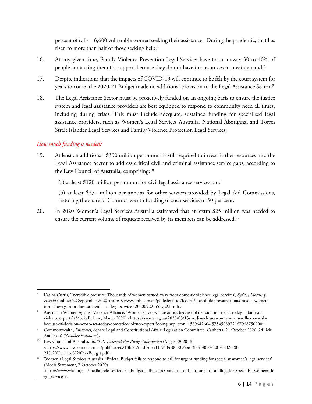<span id="page-5-5"></span>percent of calls – 6,600 vulnerable women seeking their assistance. During the pandemic, that has risen to more than half of those seeking help. $^7$  $^7$ 

- 16. At any given time, Family Violence Prevention Legal Services have to turn away 30 to 40% of people contacting them for support because they do not have the resources to meet demand.<sup>[8](#page-5-1)</sup>
- 17. Despite indications that the impacts of COVID-19 will continue to be felt by the court system for years to come, the 2020-21 Budget made no additional provision to the Legal Assistance Sector. $^9$  $^9$
- 18. The Legal Assistance Sector must be proactively funded on an ongoing basis to ensure the justice system and legal assistance providers are best equipped to respond to community need all times, including during crises. This must include adequate, sustained funding for specialised legal assistance providers, such as Women's Legal Services Australia, National Aboriginal and Torres Strait Islander Legal Services and Family Violence Protection Legal Services.

## *How much funding is needed?*

19. At least an additional \$390 million per annum is still required to invest further resources into the Legal Assistance Sector to address critical civil and criminal assistance service gaps, according to the Law Council of Australia, comprising:<sup>[10](#page-5-3)</sup>

(a) at least \$120 million per annum for civil legal assistance services; and

(b) at least \$270 million per annum for other services provided by Legal Aid Commissions, restoring the share of Commonwealth funding of such services to 50 per cent.

20. In 2020 Women's Legal Services Australia estimated that an extra \$25 million was needed to ensure the current volume of requests received by its members can be addressed.<sup>11</sup>

<span id="page-5-0"></span> $\overline{a}$ <sup>7</sup> Katina Curtis, 'Incredible pressure: Thousands of women turned away from domestic violence legal services'*, Sydney Morning*  Herald (online) 22 September 2020 <https://www.smh.com.au/polfederaitics/federal/incredible-pressure-thousands-of-womenturned-away-from-domestic-violence-legal-services-20200922-p55y22.html>.

<span id="page-5-1"></span><sup>8</sup> Australian Women Against Violence Alliance, 'Women's lives will be at risk because of decision not to act today – domestic violence experts' (Media Release, March 2020) [<https://awava.org.au/2020/03/13/media-release/womens-lives-will-be-at-risk](https://awava.org.au/2020/03/13/media-release/womens-lives-will-be-at-risk-because-of-decision-not-to-act-today-domestic-violence-experts?doing_wp_cron=1589642604.5754508972167968750000)[because-of-decision-not-to-act-today-domestic-violence-experts?doing\\_wp\\_cron=1589642604.5754508972167968750000>](https://awava.org.au/2020/03/13/media-release/womens-lives-will-be-at-risk-because-of-decision-not-to-act-today-domestic-violence-experts?doing_wp_cron=1589642604.5754508972167968750000).

<span id="page-5-2"></span><sup>9</sup> Commonwealth, *Estimates*, Senate Legal and Constitutional Affairs Legislation Committee, Canberra, 21 October 2020, 24 (Mr Anderson) ('*October Estimates'*).

<span id="page-5-3"></span><sup>&</sup>lt;sup>10</sup> Law Council of Australia, 2020-21 Deferred Pre-Budget Submission (August 2020) 8 <https://www.lawcouncil.asn.au/publicassets/13bfe261-dfec-ea11-9434-005056be13b5/3868%20-%202020- 21%20Deferred%20Pre-Budget.pdf>.

<span id="page-5-4"></span><sup>&</sup>lt;sup>11</sup> Women's Legal Services Australia, 'Federal Budget fails to respond to call for urgent funding for specialist women's legal services' (Media Statement, 7 October 2020) <http://www.wlsa.org.au/media\_releases/federal\_budget\_fails\_to\_respond\_to\_call\_for\_urgent\_funding\_for\_specialist\_womens\_le gal\_services>.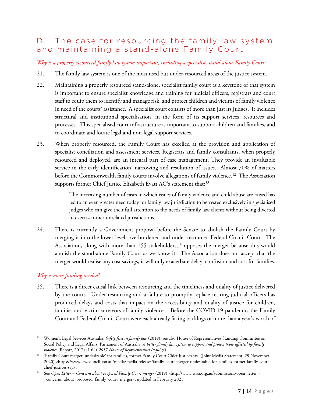## D. The case for resourcing the family law system and maintaining a stand-alone Family Court

*Why is a properly-resourced family law system important, including a specialist, stand-alone Family Court?*

- 21. The family law system is one of the most used but under-resourced areas of the justice system.
- 22. Maintaining a properly resourced stand-alone, specialist family court as a keystone of that system is important to ensure specialist knowledge and training for judicial officers, registrars and court staff to equip them to identify and manage risk, and protect children and victims of family violence in need of the courts' assistance. A specialist court consists of more than just its Judges. It includes structural and institutional specialisation, in the form of its support services, resources and processes. This specialised court infrastructure is important to support children and families, and to coordinate and locate legal and non-legal support services.
- 23. When properly resourced, the Family Court has excelled at the provision and application of specialist conciliation and assessment services. Registrars and family consultants, when properly resourced and deployed, are an integral part of case management. They provide an invaluable service in the early identification, narrowing and resolution of issues. Almost 70% of matters before the Commonwealth family courts involve allegations of family violence.<sup>[12](#page-6-0)</sup> The Association supports former Chief Justice Elizabeth Evatt AC's statement that:<sup>[13](#page-6-1)</sup>

<span id="page-6-3"></span>The increasing number of cases in which issues of family violence and child abuse are raised has led to an even greater need today for family law jurisdiction to be vested exclusively in specialised judges who can give their full attention to the needs of family law clients without being diverted to exercise other unrelated jurisdictions.

24. There is currently a Government proposal before the Senate to abolish the Family Court by merging it into the lower-level, overburdened and under-resourced Federal Circuit Court. The Association, along with more than 155 stakeholders,<sup>[14](#page-6-2)</sup> opposes the merger because this would abolish the stand-alone Family Court as we know it. The Association does not accept that the merger would realise any cost savings, it will only exacerbate delay, confusion and cost for families.

## *Why is more funding needed?*

25. There is a direct causal link between resourcing and the timeliness and quality of justice delivered by the courts. Under-resourcing and a failure to promptly replace retiring judicial officers has produced delays and costs that impact on the accessibility and quality of justice for children, families and victim-survivors of family violence. Before the COVID-19 pandemic, the Family Court and Federal Circuit Court were each already facing backlogs of more than a year's worth of

<span id="page-6-0"></span>l <sup>12</sup> Women's Legal Services Australia, *Safety first in family law* (2019); see also House of Representatives Standing Committee on Social Policy and Legal Affairs, Parliament of Australia, *A better family law system to support and protect those affected by family violence* (Report, 2017) [1.6] ('*2017 House of Representatives Inquiry*').

<span id="page-6-1"></span><sup>&</sup>lt;sup>13</sup> 'Family Court merger 'undesirable' for families, former Family Court Chief Justices say' (Joint Media Statement, 29 November 2020) <https://www.lawcouncil.asn.au/media/media-releases/family-court-merger-undesirable-for-families-former-family-courtchief-justices-say>.

<span id="page-6-2"></span><sup>14</sup> See *Open Letter – Concerns about proposed Family Court merger* (2019) <http://www.wlsa.org.au/submissions/open\_letter\_- \_concerns\_about\_proposed\_family\_court\_merger>, updated in February 2021.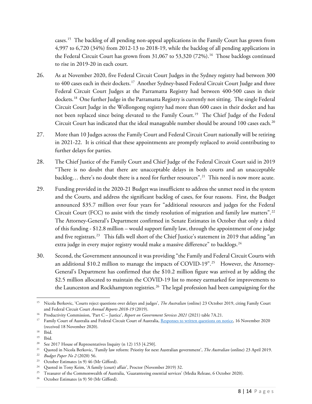<span id="page-7-13"></span>cases.<sup>15</sup> The backlog of all pending non-appeal applications in the Family Court has grown from 4,997 to 6,720 (34%) from 2012-13 to 2018-19, while the backlog of all pending applications in the Federal Circuit Court has grown from 31,067 to 53,320 (72%).<sup>16</sup> Those backlogs continued to rise in 2019-20 in each court.

- 26. As at November 2020, five Federal Circuit Court Judges in the Sydney registry had between 300 to 400 cases each in their dockets.<sup>[17](#page-7-2)</sup> Another Sydney-based Federal Circuit Court Judge and three Federal Circuit Court Judges at the Parramatta Registry had between 400-500 cases in their dockets.<sup>[18](#page-7-3)</sup> One further Judge in the Parramatta Registry is currently not sitting. The single Federal Circuit Court Judge in the Wollongong registry had more than 600 cases in their docket and has not been replaced since being elevated to the Family Court. [19](#page-7-4) The Chief Judge of the Federal Circuit Court has indicated that the ideal manageable number should be around 100 cases each. $^{20}$  $^{20}$  $^{20}$
- 27. More than 10 Judges across the Family Court and Federal Circuit Court nationally will be retiring in 2021-22. It is critical that these appointments are promptly replaced to avoid contributing to further delays for parties.
- 28. The Chief Justice of the Family Court and Chief Judge of the Federal Circuit Court said in 2019 "There is no doubt that there are unacceptable delays in both courts and an unacceptable backlog... there's no doubt there is a need for further resources".<sup>[21](#page-7-6)</sup> This need is now more acute.
- 29. Funding provided in the 2020-21 Budget was insufficient to address the unmet need in the system and the Courts, and address the significant backlog of cases, for four reasons. First, the Budget announced \$35.7 million over four years for "additional resources and judges for the Federal Circuit Court (FCC) to assist with the timely resolution of migration and family law matters".<sup>[22](#page-7-7)</sup> The Attorney-General's Department confirmed in Senate Estimates in October that only a third of this funding - \$12.8 million – would support family law, through the appointment of one judge and five registrars.<sup>23</sup> This falls well short of the Chief Justice's statement in 2019 that adding "an extra judge in every major registry would make a massive difference" to backlogs.<sup>[24](#page-7-9)</sup>
- <span id="page-7-12"></span>30. Second, the Government announced it was providing "the Family and Federal Circuit Courts with an additional \$10.2 million to manage the impacts of COVID-19".<sup>[25](#page-7-10)</sup> However, the Attorney-General's Department has confirmed that the \$10.2 million figure was arrived at by adding the \$2.5 million allocated to maintain the COVID-19 list to money earmarked for improvements to the Launceston and Rockhampton registries.<sup>26</sup> The legal profession had been campaigning for the

l

<span id="page-7-0"></span><sup>15</sup> Nicola Berkovic, 'Courts reject questions over delays and judges', *The Australian* (online) 23 October 2019, citing Family Court and Federal Circuit Court *Annual Reports 2018-19* (2019).

<span id="page-7-1"></span><sup>16</sup> Productivity Commission, 'Part C – Justice', *Report on Government Services 2021* (2021) table 7A.21.

<span id="page-7-2"></span><sup>17</sup> Family Court of Australia and Federal Circuit Court of Australia[, Responses to written questions on notice,](https://www.aph.gov.au/Parliamentary_Business/Committees/Senate/Legal_and_Constitutional_Affairs/Federalcircuitcourt/Additional_Documents) 16 November 2020 (received 18 November 2020).

<span id="page-7-3"></span><sup>18</sup> Ibid.

<span id="page-7-4"></span><sup>19</sup> Ibid.

<span id="page-7-5"></span><sup>&</sup>lt;sup>20</sup> See 2017 House of Representatives Inquiry (n [12\)](#page-6-3) 153 [4.250].

<span id="page-7-6"></span><sup>21</sup> Quoted in Nicola Berkovic, 'Family law reform: Priority for next Australian government', *The Australian* (online) 23 April 2019.

<span id="page-7-8"></span><span id="page-7-7"></span><sup>22</sup> *Budget Paper No 2* (2020) 56.

<span id="page-7-9"></span><sup>&</sup>lt;sup>24</sup> Quoted in Tony Keim, 'A family (court) affair', Proctor (November 2019) 32.

<span id="page-7-10"></span><sup>&</sup>lt;sup>25</sup> Treasurer of the Commonwealth of Australia, 'Guaranteeing essential services' (Media Release, 6 October 2020).<br><sup>26</sup> October Estimates (n 9) 50 (Mr Gifford).

<span id="page-7-11"></span>October Estimates (n [9\)](#page-5-5) 50 (Mr Gifford).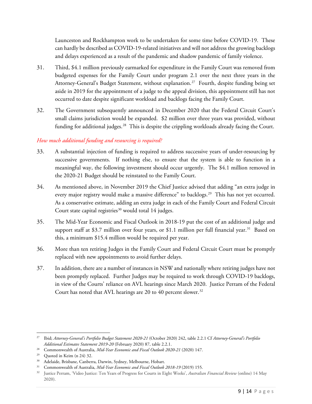Launceston and Rockhampton work to be undertaken for some time before COVID-19. These can hardly be described as COVID-19-related initiatives and will not address the growing backlogs and delays experienced as a result of the pandemic and shadow pandemic of family violence.

- 31. Third, \$4.1 million previously earmarked for expenditure in the Family Court was removed from budgeted expenses for the Family Court under program 2.1 over the next three years in the Attorney-General's Budget Statement, without explanation.<sup>[27](#page-8-0)</sup> Fourth, despite funding being set aside in 2019 for the appointment of a judge to the appeal division, this appointment still has not occurred to date despite significant workload and backlogs facing the Family Court.
- 32. The Government subsequently announced in December 2020 that the Federal Circuit Court's small claims jurisdiction would be expanded. \$2 million over three years was provided, without funding for additional judges.<sup>28</sup> This is despite the crippling workloads already facing the Court.

## *How much additional funding and resourcing is required?*

- 33. A substantial injection of funding is required to address successive years of under-resourcing by successive governments. If nothing else, to ensure that the system is able to function in a meaningful way, the following investment should occur urgently. The \$4.1 million removed in the 2020-21 Budget should be reinstated to the Family Court.
- 34. As mentioned above, in November 2019 the Chief Justice advised that adding "an extra judge in every major registry would make a massive difference" to backlogs.<sup>[29](#page-8-2)</sup> This has not yet occurred. As a conservative estimate, adding an extra judge in each of the Family Court and Federal Circuit Court state capital registries<sup>[30](#page-8-3)</sup> would total 14 judges.
- 35. The Mid-Year Economic and Fiscal Outlook in 2018-19 put the cost of an additional judge and support staff at \$3.7 million over four years, or \$1.1 million per full financial year.<sup>31</sup> Based on this, a minimum \$15.4 million would be required per year.
- 36. More than ten retiring Judges in the Family Court and Federal Circuit Court must be promptly replaced with new appointments to avoid further delays.
- 37. In addition, there are a number of instances in NSW and nationally where retiring judges have not been promptly replaced. Further Judges may be required to work through COVID-19 backlogs, in view of the Courts' reliance on AVL hearings since March 2020. Justice Perram of the Federal Court has noted that AVL hearings are 20 to 40 percent slower.<sup>32</sup>

<span id="page-8-0"></span>l <sup>27</sup> Ibid; *Attorney-General's Portfolio Budget Statement 2020-21* (October 2020) 242, table 2.2.1 Cf *Attorney-General's Portfolio Additional Estimates Statement 2019-20* (February 2020) 87, table 2.2.1.

<span id="page-8-1"></span><sup>28</sup> Commonwealth of Australia, *Mid-Year Economic and Fiscal Outlook 2020-21* (2020) 147.

<span id="page-8-3"></span><span id="page-8-2"></span><sup>&</sup>lt;sup>29</sup> Quoted in Keim (n [24\)](#page-7-12) 32.<br> $\frac{30}{4}$  Adelaide Brisbane Capber

Adelaide, Brisbane, Canberra, Darwin, Sydney, Melbourne, Hobart.

<span id="page-8-4"></span><sup>&</sup>lt;sup>31</sup> Commonwealth of Australia, *Mid-Year Economic and Fiscal Outlook 2018-19* (2019) 155.

<span id="page-8-5"></span><sup>32</sup> Justice Perram, 'Video Justice: Ten Years of Progress for Courts in Eight Weeks', *Australian Financial Review* (online) 14 May 2020).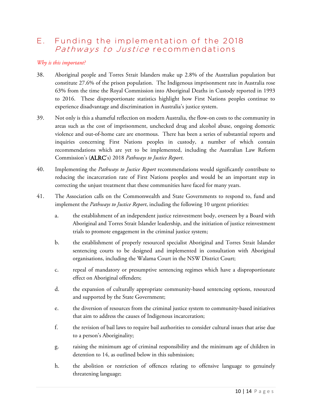## E. Funding the implementation of the 2018 Pathways to Justice recommendations

## *Why is this important?*

- 38. Aboriginal people and Torres Strait Islanders make up 2.8% of the Australian population but constitute 27.6% of the prison population. The Indigenous imprisonment rate in Australia rose 63% from the time the Royal Commission into Aboriginal Deaths in Custody reported in 1993 to 2016. These disproportionate statistics highlight how First Nations peoples continue to experience disadvantage and discrimination in Australia's justice system.
- 39. Not only is this a shameful reflection on modern Australia, the flow-on costs to the community in areas such as the cost of imprisonment, unchecked drug and alcohol abuse, ongoing domestic violence and out-of-home care are enormous. There has been a series of substantial reports and inquiries concerning First Nations peoples in custody, a number of which contain recommendations which are yet to be implemented, including the Australian Law Reform Commission's (ALRC's) 2018 *Pathways to Justice Report*.
- 40. Implementing the *Pathways to Justice Report* recommendations would significantly contribute to reducing the incarceration rate of First Nations peoples and would be an important step in correcting the unjust treatment that these communities have faced for many years.
- 41. The Association calls on the Commonwealth and State Governments to respond to, fund and implement the *Pathways to Justice Report*, including the following 10 urgent priorities:
	- a. the establishment of an independent justice reinvestment body, overseen by a Board with Aboriginal and Torres Strait Islander leadership, and the initiation of justice reinvestment trials to promote engagement in the criminal justice system;
	- b. the establishment of properly resourced specialist Aboriginal and Torres Strait Islander sentencing courts to be designed and implemented in consultation with Aboriginal organisations, including the Walama Court in the NSW District Court;
	- c. repeal of mandatory or presumptive sentencing regimes which have a disproportionate effect on Aboriginal offenders;
	- d. the expansion of culturally appropriate community-based sentencing options, resourced and supported by the State Government;
	- e. the diversion of resources from the criminal justice system to community-based initiatives that aim to address the causes of Indigenous incarceration;
	- f. the revision of bail laws to require bail authorities to consider cultural issues that arise due to a person's Aboriginality;
	- g. raising the minimum age of criminal responsibility and the minimum age of children in detention to 14, as outlined below in this submission;
	- h. the abolition or restriction of offences relating to offensive language to genuinely threatening language;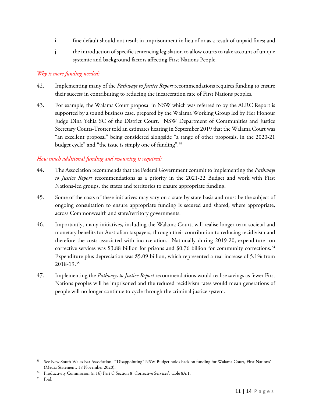- i. fine default should not result in imprisonment in lieu of or as a result of unpaid fines; and
- j. the introduction of specific sentencing legislation to allow courts to take account of unique systemic and background factors affecting First Nations People.

## *Why is more funding needed?*

- 42. Implementing many of the *Pathways to Justice Report* recommendations requires funding to ensure their success in contributing to reducing the incarceration rate of First Nations peoples.
- 43. For example, the Walama Court proposal in NSW which was referred to by the ALRC Report is supported by a sound business case, prepared by the Walama Working Group led by Her Honour Judge Dina Yehia SC of the District Court. NSW Department of Communities and Justice Secretary Coutts-Trotter told an estimates hearing in September 2019 that the Walama Court was "an excellent proposal" being considered alongside "a range of other proposals, in the 2020-21 budget cycle" and "the issue is simply one of funding".<sup>[33](#page-10-0)</sup>

## *How much additional funding and resourcing is required?*

- 44. The Association recommends that the Federal Government commit to implementing the *Pathways to Justice Report* recommendations as a priority in the 2021-22 Budget and work with First Nations-led groups, the states and territories to ensure appropriate funding.
- 45. Some of the costs of these initiatives may vary on a state by state basis and must be the subject of ongoing consultation to ensure appropriate funding is secured and shared, where appropriate, across Commonwealth and state/territory governments.
- 46. Importantly, many initiatives, including the Walama Court, will realise longer term societal and monetary benefits for Australian taxpayers, through their contribution to reducing recidivism and therefore the costs associated with incarceration. Nationally during 2019-20, expenditure on corrective services was \$3.88 billion for prisons and \$0.76 billion for community corrections. [34](#page-10-1) Expenditure plus depreciation was \$5.09 billion, which represented a real increase of 5.1% from 2018-19. [35](#page-10-2)
- 47. Implementing the *Pathways to Justice Report* recommendations would realise savings as fewer First Nations peoples will be imprisoned and the reduced recidivism rates would mean generations of people will no longer continue to cycle through the criminal justice system.

<span id="page-10-0"></span>l <sup>33</sup> See New South Wales Bar Association, "Disappointing" NSW Budget holds back on funding for Walama Court, First Nations' (Media Statement, 18 November 2020).

<span id="page-10-2"></span><span id="page-10-1"></span><sup>&</sup>lt;sup>34</sup> Productivity Commission (n [16\)](#page-7-13) Part C Section 8 'Corrective Services[',](https://www.pc.gov.au/research/ongoing/report-on-government-services/2021/justice/corrective-services#footnotes-funding) table 8A.1.<br><sup>35</sup> Ibid

Ibid.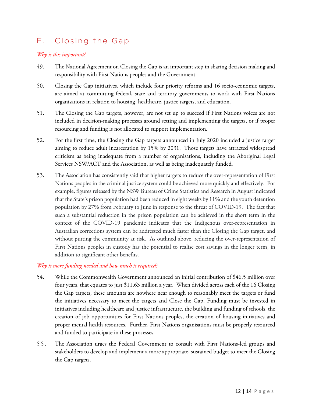# F. Closing the Gap

#### *Why is this important?*

- 49. The National Agreement on Closing the Gap is an important step in sharing decision making and responsibility with First Nations peoples and the Government.
- 50. Closing the Gap initiatives, which include four priority reforms and 16 socio-economic targets, are aimed at committing federal, state and territory governments to work with First Nations organisations in relation to housing, healthcare, justice targets, and education.
- 51. The Closing the Gap targets, however, are not set up to succeed if First Nations voices are not included in decision-making processes around setting and implementing the targets, or if proper resourcing and funding is not allocated to support implementation.
- 52. For the first time, the Closing the Gap targets announced in July 2020 included a justice target aiming to reduce adult incarceration by 15% by 2031. Those targets have attracted widespread criticism as being inadequate from a number of organisations, including the Aboriginal Legal Services NSW/ACT and the Association, as well as being inadequately funded.
- 53. The Association has consistently said that higher targets to reduce the over-representation of First Nations peoples in the criminal justice system could be achieved more quickly and effectively. For example, figures released by the NSW Bureau of Crime Statistics and Research in August indicated that the State's prison population had been reduced in eight weeks by 11% and the youth detention population by 27% from February to June in response to the threat of COVID-19. The fact that such a substantial reduction in the prison population can be achieved in the short term in the context of the COVID-19 pandemic indicates that the Indigenous over-representation in Australian corrections system can be addressed much faster than the Closing the Gap target, and without putting the community at risk. As outlined above, reducing the over-representation of First Nations peoples in custody has the potential to realise cost savings in the longer term, in addition to significant other benefits.

#### *Why is more funding needed and how much is required?*

- 54. While the Commonwealth Government announced an initial contribution of \$46.5 million over four years, that equates to just \$11.63 million a year. When divided across each of the 16 Closing the Gap targets, these amounts are nowhere near enough to reasonably meet the targets or fund the initiatives necessary to meet the targets and Close the Gap. Funding must be invested in initiatives including healthcare and justice infrastructure, the building and funding of schools, the creation of job opportunities for First Nations peoples, the creation of housing initiatives and proper mental health resources. Further, First Nations organisations must be properly resourced and funded to participate in these processes.
- 55. The Association urges the Federal Government to consult with First Nations-led groups and stakeholders to develop and implement a more appropriate, sustained budget to meet the Closing the Gap targets.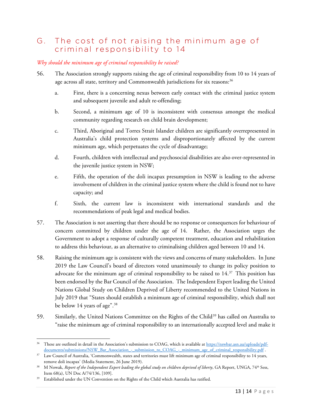## G. The cost of not raising the minimum age of criminal responsibility to 14

## *Why should the minimum age of criminal responsibility be raised?*

- 56. The Association strongly supports raising the age of criminal responsibility from 10 to 14 years of age across all state, territory and Commonwealth jurisdictions for six reasons:<sup>36</sup>
	- a. First, there is a concerning nexus between early contact with the criminal justice system and subsequent juvenile and adult re-offending;
	- b. Second, a minimum age of 10 is inconsistent with consensus amongst the medical community regarding research on child brain development;
	- c. Third, Aboriginal and Torres Strait Islander children are significantly overrepresented in Australia's child protection systems and disproportionately affected by the current minimum age, which perpetuates the cycle of disadvantage;
	- d. Fourth, children with intellectual and psychosocial disabilities are also over-represented in the juvenile justice system in NSW;
	- e. Fifth, the operation of the doli incapax presumption in NSW is leading to the adverse involvement of children in the criminal justice system where the child is found not to have capacity; and
	- f. Sixth, the current law is inconsistent with international standards and the recommendations of peak legal and medical bodies.
- 57. The Association is not asserting that there should be no response or consequences for behaviour of concern committed by children under the age of 14. Rather, the Association urges the Government to adopt a response of culturally competent treatment, education and rehabilitation to address this behaviour, as an alternative to criminalising children aged between 10 and 14.
- 58. Raising the minimum age is consistent with the views and concerns of many stakeholders. In June 2019 the Law Council's board of directors voted unanimously to change its policy position to advocate for the minimum age of criminal responsibility to be raised to  $14.37$  $14.37$  This position has been endorsed by the Bar Council of the Association. The Independent Expert leading the United Nations Global Study on Children Deprived of Liberty recommended to the United Nations in July 2019 that "States should establish a minimum age of criminal responsibility, which shall not be below 14 years of age".[38](#page-12-2)
- 59. Similarly, the United Nations Committee on the Rights of the Child<sup>[39](#page-12-3)</sup> has called on Australia to "raise the minimum age of criminal responsibility to an internationally accepted level and make it

<span id="page-12-0"></span> $\overline{\phantom{a}}$ <sup>36</sup> These are outlined in detail in the Association's submission to COAG, which is available at [https://nswbar.asn.au/uploads/pdf](https://nswbar.asn.au/uploads/pdf-documents/submissions/NSW_Bar_Association_-_submission_to_COAG_-_minimum_age_of_criminal_responsibility.pdf)[documents/submissions/NSW\\_Bar\\_Association\\_-\\_submission\\_to\\_COAG\\_-\\_minimum\\_age\\_of\\_criminal\\_responsibility.pdf](https://nswbar.asn.au/uploads/pdf-documents/submissions/NSW_Bar_Association_-_submission_to_COAG_-_minimum_age_of_criminal_responsibility.pdf) .

<span id="page-12-1"></span><sup>&</sup>lt;sup>37</sup> Law Council of Australia, 'Commonwealth, states and territories must lift minimum age of criminal responsibility to 14 years, remove doli incapax' (Media Statement, 26 June 2019).

<span id="page-12-2"></span><sup>&</sup>lt;sup>38</sup> M Nowak, *Report of the Independent Expert leading the global study on children deprived of liberty*, GA Report, UNGA, 74<sup>th</sup> Sess, Item 68(a), UN Doc A/74/136, [109].

<span id="page-12-3"></span><sup>&</sup>lt;sup>39</sup> Established under the UN Convention on the Rights of the Child which Australia has ratified.